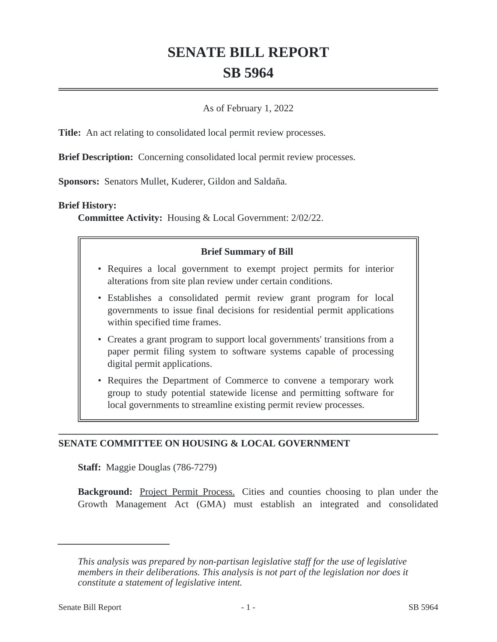# **SENATE BILL REPORT SB 5964**

## As of February 1, 2022

**Title:** An act relating to consolidated local permit review processes.

**Brief Description:** Concerning consolidated local permit review processes.

**Sponsors:** Senators Mullet, Kuderer, Gildon and Saldaña.

#### **Brief History:**

**Committee Activity:** Housing & Local Government: 2/02/22.

## **Brief Summary of Bill**

- Requires a local government to exempt project permits for interior alterations from site plan review under certain conditions.
- Establishes a consolidated permit review grant program for local governments to issue final decisions for residential permit applications within specified time frames.
- Creates a grant program to support local governments' transitions from a paper permit filing system to software systems capable of processing digital permit applications.
- Requires the Department of Commerce to convene a temporary work group to study potential statewide license and permitting software for local governments to streamline existing permit review processes.

# **SENATE COMMITTEE ON HOUSING & LOCAL GOVERNMENT**

**Staff:** Maggie Douglas (786-7279)

**Background:** Project Permit Process. Cities and counties choosing to plan under the Growth Management Act (GMA) must establish an integrated and consolidated

*This analysis was prepared by non-partisan legislative staff for the use of legislative members in their deliberations. This analysis is not part of the legislation nor does it constitute a statement of legislative intent.*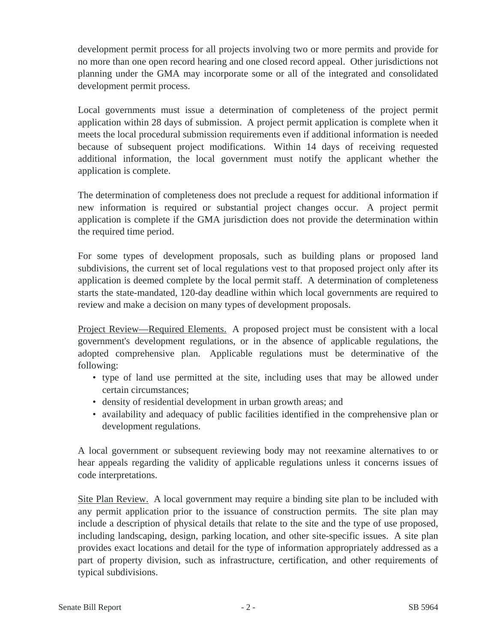development permit process for all projects involving two or more permits and provide for no more than one open record hearing and one closed record appeal. Other jurisdictions not planning under the GMA may incorporate some or all of the integrated and consolidated development permit process.

Local governments must issue a determination of completeness of the project permit application within 28 days of submission. A project permit application is complete when it meets the local procedural submission requirements even if additional information is needed because of subsequent project modifications. Within 14 days of receiving requested additional information, the local government must notify the applicant whether the application is complete.

The determination of completeness does not preclude a request for additional information if new information is required or substantial project changes occur. A project permit application is complete if the GMA jurisdiction does not provide the determination within the required time period.

For some types of development proposals, such as building plans or proposed land subdivisions, the current set of local regulations vest to that proposed project only after its application is deemed complete by the local permit staff. A determination of completeness starts the state-mandated, 120-day deadline within which local governments are required to review and make a decision on many types of development proposals.

Project Review—Required Elements. A proposed project must be consistent with a local government's development regulations, or in the absence of applicable regulations, the adopted comprehensive plan. Applicable regulations must be determinative of the following:

- type of land use permitted at the site, including uses that may be allowed under certain circumstances;
- density of residential development in urban growth areas; and
- availability and adequacy of public facilities identified in the comprehensive plan or development regulations.

A local government or subsequent reviewing body may not reexamine alternatives to or hear appeals regarding the validity of applicable regulations unless it concerns issues of code interpretations.

Site Plan Review. A local government may require a binding site plan to be included with any permit application prior to the issuance of construction permits. The site plan may include a description of physical details that relate to the site and the type of use proposed, including landscaping, design, parking location, and other site-specific issues. A site plan provides exact locations and detail for the type of information appropriately addressed as a part of property division, such as infrastructure, certification, and other requirements of typical subdivisions.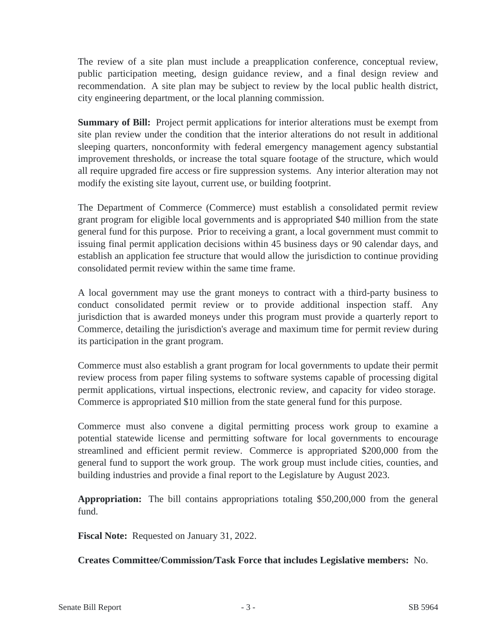The review of a site plan must include a preapplication conference, conceptual review, public participation meeting, design guidance review, and a final design review and recommendation. A site plan may be subject to review by the local public health district, city engineering department, or the local planning commission.

**Summary of Bill:** Project permit applications for interior alterations must be exempt from site plan review under the condition that the interior alterations do not result in additional sleeping quarters, nonconformity with federal emergency management agency substantial improvement thresholds, or increase the total square footage of the structure, which would all require upgraded fire access or fire suppression systems. Any interior alteration may not modify the existing site layout, current use, or building footprint.

The Department of Commerce (Commerce) must establish a consolidated permit review grant program for eligible local governments and is appropriated \$40 million from the state general fund for this purpose. Prior to receiving a grant, a local government must commit to issuing final permit application decisions within 45 business days or 90 calendar days, and establish an application fee structure that would allow the jurisdiction to continue providing consolidated permit review within the same time frame.

A local government may use the grant moneys to contract with a third-party business to conduct consolidated permit review or to provide additional inspection staff. Any jurisdiction that is awarded moneys under this program must provide a quarterly report to Commerce, detailing the jurisdiction's average and maximum time for permit review during its participation in the grant program.

Commerce must also establish a grant program for local governments to update their permit review process from paper filing systems to software systems capable of processing digital permit applications, virtual inspections, electronic review, and capacity for video storage. Commerce is appropriated \$10 million from the state general fund for this purpose.

Commerce must also convene a digital permitting process work group to examine a potential statewide license and permitting software for local governments to encourage streamlined and efficient permit review. Commerce is appropriated \$200,000 from the general fund to support the work group. The work group must include cities, counties, and building industries and provide a final report to the Legislature by August 2023.

**Appropriation:** The bill contains appropriations totaling \$50,200,000 from the general fund.

**Fiscal Note:** Requested on January 31, 2022.

**Creates Committee/Commission/Task Force that includes Legislative members:** No.